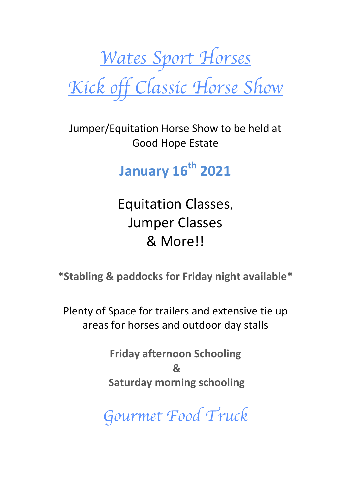*Wates Sport Horses Kick off Classic Horse Show*

Jumper/Equitation Horse Show to be held at Good Hope Estate

**January 16th 2021**

Equitation Classes, **Jumper Classes** & More!!

**\*Stabling & paddocks for Friday night available\***

Plenty of Space for trailers and extensive tie up areas for horses and outdoor day stalls

> **Friday afternoon Schooling & Saturday morning schooling**

*Gourmet Food Truck*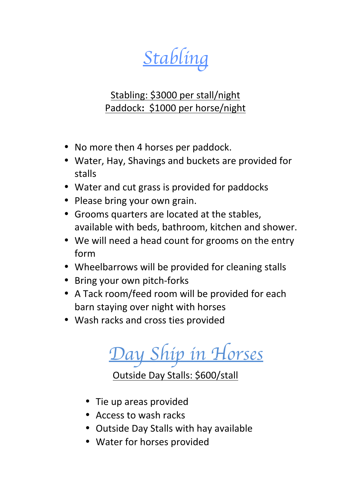*Stabling* 

### Stabling: \$3000 per stall/night Paddock: \$1000 per horse/night

- No more then 4 horses per paddock.
- Water, Hay, Shavings and buckets are provided for stalls
- Water and cut grass is provided for paddocks
- Please bring your own grain.
- Grooms quarters are located at the stables, available with beds, bathroom, kitchen and shower.
- We will need a head count for grooms on the entry form
- Wheelbarrows will be provided for cleaning stalls
- Bring your own pitch-forks
- A Tack room/feed room will be provided for each barn staying over night with horses
- Wash racks and cross ties provided

*Day Ship in Horses*

Outside Day Stalls: \$600/stall

- Tie up areas provided
- Access to wash racks
- Outside Day Stalls with hay available
- Water for horses provided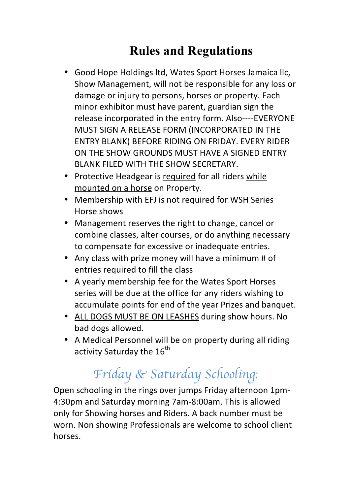## **Rules and Regulations**

- Good Hope Holdings ltd, Wates Sport Horses Jamaica llc, Show Management, will not be responsible for any loss or damage or injury to persons, horses or property. Each minor exhibitor must have parent, guardian sign the release incorporated in the entry form. Also----EVERYONE MUST SIGN A RELEASE FORM (INCORPORATED IN THE ENTRY BLANK) BEFORE RIDING ON FRIDAY. EVERY RIDER ON THE SHOW GROUNDS MUST HAVE A SIGNED ENTRY BLANK FILED WITH THE SHOW SECRETARY.
- Protective Headgear is required for all riders while mounted on a horse on Property.
- Membership with EFJ is not required for WSH Series Horse shows
- Management reserves the right to change, cancel or combine classes, alter courses, or do anything necessary to compensate for excessive or inadequate entries.
- Any class with prize money will have a minimum # of entries required to fill the class
- A yearly membership fee for the Wates Sport Horses series will be due at the office for any riders wishing to accumulate points for end of the year Prizes and banquet.
- ALL DOGS MUST BE ON LEASHES during show hours. No bad dogs allowed.
- A Medical Personnel will be on property during all riding activity Saturday the  $16^{th}$

# *Friday & Saturday Schooling:*

Open schooling in the rings over jumps Friday afternoon 1pm-4:30pm and Saturday morning 7am-8:00am. This is allowed only for Showing horses and Riders. A back number must be worn. Non showing Professionals are welcome to school client horses.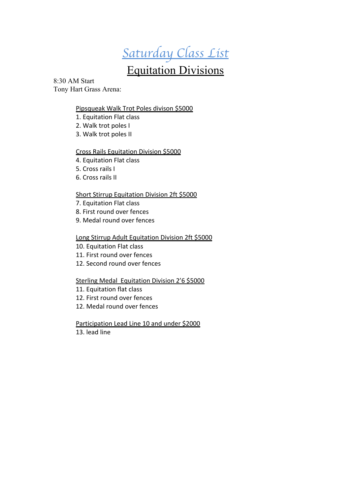# *Saturday Class List*

## Equitation Divisions

8:30 AM Start Tony Hart Grass Arena:

#### Pipsqueak Walk Trot Poles divison \$5000

- 1. Equitation Flat class
- 2. Walk trot poles I
- 3. Walk trot poles II

#### Cross Rails Equitation Division \$5000

- 4. Equitation Flat class
- 5. Cross rails I
- 6. Cross rails II

#### Short Stirrup Equitation Division 2ft \$5000

- 7. Equitation Flat class
- 8. First round over fences
- 9. Medal round over fences

#### Long Stirrup Adult Equitation Division 2ft \$5000

- 10. Equitation Flat class
- 11. First round over fences
- 12. Second round over fences

#### Sterling Medal Equitation Division 2'6 \$5000

- 11. Equitation flat class
- 12. First round over fences
- 12. Medal round over fences

Participation Lead Line 10 and under \$2000

13. lead line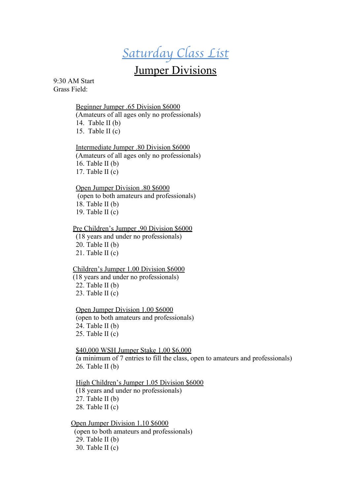## *Saturday Class List*

### **Jumper Divisions**

9:30 AM Start Grass Field:

#### Beginner Jumper .65 Division \$6000

(Amateurs of all ages only no professionals) 14. Table II (b)

15. Table II $(c)$ 

#### Intermediate Jumper .80 Division \$6000

(Amateurs of all ages only no professionals) 16. Table II (b) 17. Table II (c)

#### Open Jumper Division .80 \$6000

(open to both amateurs and professionals) 18. Table II (b) 19. Table II (c)

#### Pre Children's Jumper .90 Division \$6000

(18 years and under no professionals) 20. Table II (b) 21. Table II (c)

#### Children's Jumper 1.00 Division \$6000

 (18 years and under no professionals) 22. Table II (b) 23. Table II (c)

#### Open Jumper Division 1.00 \$6000

(open to both amateurs and professionals) 24. Table II (b) 25. Table II (c)

#### \$40,000 WSH Jumper Stake 1.00 \$6,000

(a minimum of 7 entries to fill the class, open to amateurs and professionals) 26. Table II (b)

#### High Children's Jumper 1.05 Division \$6000

(18 years and under no professionals) 27. Table II (b) 28. Table II (c)

#### Open Jumper Division 1.10 \$6000

(open to both amateurs and professionals) 29. Table II (b) 30. Table II (c)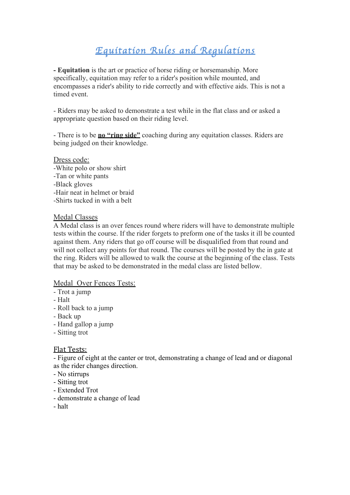## *Equitation Rules and Regulations*

**- Equitation** is the art or practice of horse riding or horsemanship. More specifically, equitation may refer to a rider's position while mounted, and encompasses a rider's ability to ride correctly and with effective aids. This is not a timed event.

- Riders may be asked to demonstrate a test while in the flat class and or asked a appropriate question based on their riding level.

- There is to be **no "ring side"** coaching during any equitation classes. Riders are being judged on their knowledge.

Dress code: -White polo or show shirt -Tan or white pants -Black gloves -Hair neat in helmet or braid -Shirts tucked in with a belt

#### Medal Classes

A Medal class is an over fences round where riders will have to demonstrate multiple tests within the course. If the rider forgets to preform one of the tasks it ill be counted against them. Any riders that go off course will be disqualified from that round and will not collect any points for that round. The courses will be posted by the in gate at the ring. Riders will be allowed to walk the course at the beginning of the class. Tests that may be asked to be demonstrated in the medal class are listed bellow.

#### Medal Over Fences Tests:

- Trot a jump
- Halt
- Roll back to a jump
- Back up
- Hand gallop a jump
- Sitting trot

#### Flat Tests:

- Figure of eight at the canter or trot, demonstrating a change of lead and or diagonal as the rider changes direction.

- No stirrups
- Sitting trot
- Extended Trot
- demonstrate a change of lead
- halt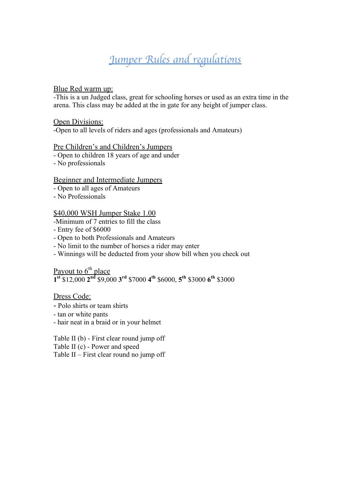## *Jumper Rules and regulations*

#### Blue Red warm up:

-This is a un Judged class, great for schooling horses or used as an extra time in the arena. This class may be added at the in gate for any height of jumper class.

#### Open Divisions:

-Open to all levels of riders and ages (professionals and Amateurs)

#### Pre Children's and Children's Jumpers

- Open to children 18 years of age and under

- No professionals

#### Beginner and Intermediate Jumpers

- Open to all ages of Amateurs
- No Professionals

#### \$40,000 WSH Jumper Stake 1.00

-Minimum of 7 entries to fill the class

- Entry fee of \$6000
- Open to both Professionals and Amateurs
- No limit to the number of horses a rider may enter
- Winnings will be deducted from your show bill when you check out

Payout to 6<sup>th</sup> place **1st** \$12,000 **2nd** \$9,000 **3rd** \$7000 **4th** \$6000, **5th** \$3000 **6th** \$3000

Dress Code:

- Polo shirts or team shirts
- tan or white pants
- hair neat in a braid or in your helmet

Table II (b) - First clear round jump off Table II (c) - Power and speed Table II – First clear round no jump off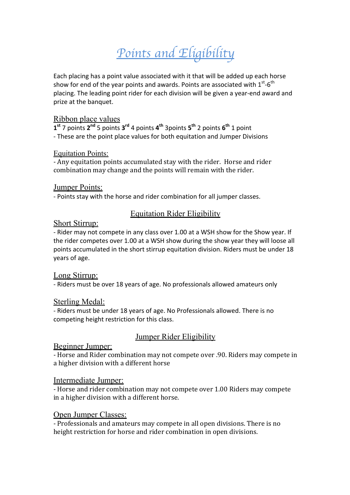# *Points and Eligibility*

Each placing has a point value associated with it that will be added up each horse show for end of the year points and awards. Points are associated with  $1^{st}$ -6<sup>th</sup> placing. The leading point rider for each division will be given a year-end award and prize at the banquet.

#### Ribbon place values

 $1^{st}$  7 points  $2^{nd}$  5 points  $3^{rd}$  4 points  $4^{th}$  3points  $5^{th}$  2 points  $6^{th}$  1 point - These are the point place values for both equitation and Jumper Divisions

#### Equitation Points:

- Any equitation points accumulated stay with the rider. Horse and rider combination may change and the points will remain with the rider.

#### Jumper Points:

- Points stay with the horse and rider combination for all jumper classes.

#### Equitation Rider Eligibility

#### Short Stirrup:

- Rider may not compete in any class over 1.00 at a WSH show for the Show year. If the rider competes over 1.00 at a WSH show during the show year they will loose all points accumulated in the short stirrup equitation division. Riders must be under 18 years of age.

#### Long Stirrup:

- Riders must be over 18 years of age. No professionals allowed amateurs only

#### Sterling Medal:

- Riders must be under 18 years of age. No Professionals allowed. There is no competing height restriction for this class.

#### Jumper Rider Eligibility

#### Beginner Jumper:

- Horse and Rider combination may not compete over .90. Riders may compete in a higher division with a different horse

#### Intermediate Jumper:

- Horse and rider combination may not compete over 1.00 Riders may compete in a higher division with a different horse.

#### Open Jumper Classes:

- Professionals and amateurs may compete in all open divisions. There is no height restriction for horse and rider combination in open divisions.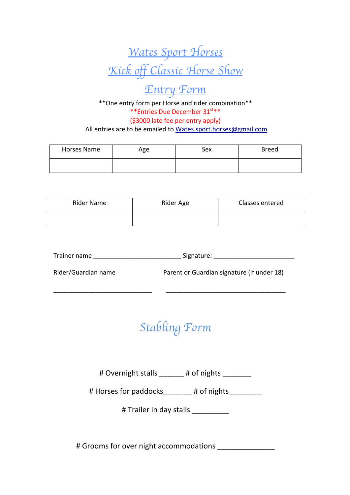

# *Entry Form*

\*\*One entry form per Horse and rider combination\*\* \*\*Entries Due December 31st\*\* (\$3000 late fee per entry apply) All entries are to be emailed to Wates.sport.horses@gmail.com

| Horses Name | Age | Sex | <b>Breed</b> |
|-------------|-----|-----|--------------|
|             |     |     |              |

| Rider Name | Rider Age | Classes entered |
|------------|-----------|-----------------|
|            |           |                 |

| Trainer name | Signature: |  |
|--------------|------------|--|
|              |            |  |

\_\_\_\_\_\_\_\_\_\_\_\_\_\_\_\_\_\_\_\_\_\_\_\_\_\_\_\_ \_\_\_\_\_\_\_\_\_\_\_\_\_\_\_\_\_\_\_\_\_\_\_\_\_\_\_\_\_\_\_\_\_\_

Rider/Guardian name **Depart of Guardian signature** (if under 18)

*Stabling Form*

# Overnight stalls \_\_\_\_\_\_ # of nights \_\_\_\_\_\_\_

# Horses for paddocks\_\_\_\_\_\_\_ # of nights\_\_\_\_\_\_\_

# Trailer in day stalls

# Grooms for over night accommodations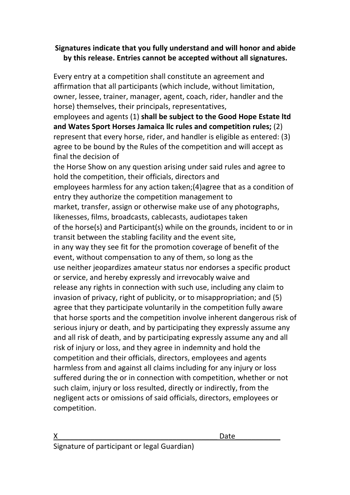#### **Signatures indicate that you fully understand and will honor and abide** by this release. Entries cannot be accepted without all signatures.

Every entry at a competition shall constitute an agreement and affirmation that all participants (which include, without limitation, owner, lessee, trainer, manager, agent, coach, rider, handler and the horse) themselves, their principals, representatives,

employees and agents (1) shall be subject to the Good Hope Estate Itd and Wates Sport Horses Jamaica Ilc rules and competition rules; (2) represent that every horse, rider, and handler is eligible as entered: (3) agree to be bound by the Rules of the competition and will accept as final the decision of

the Horse Show on any question arising under said rules and agree to hold the competition, their officials, directors and employees harmless for any action taken;(4)agree that as a condition of entry they authorize the competition management to market, transfer, assign or otherwise make use of any photographs, likenesses, films, broadcasts, cablecasts, audiotapes taken of the horse(s) and Participant(s) while on the grounds, incident to or in transit between the stabling facility and the event site, in any way they see fit for the promotion coverage of benefit of the event, without compensation to any of them, so long as the use neither ieopardizes amateur status nor endorses a specific product or service, and hereby expressly and irrevocably waive and release any rights in connection with such use, including any claim to invasion of privacy, right of publicity, or to misappropriation; and (5) agree that they participate voluntarily in the competition fully aware that horse sports and the competition involve inherent dangerous risk of serious injury or death, and by participating they expressly assume any and all risk of death, and by participating expressly assume any and all risk of injury or loss, and they agree in indemnity and hold the competition and their officials, directors, employees and agents harmless from and against all claims including for any injury or loss suffered during the or in connection with competition, whether or not such claim, injury or loss resulted, directly or indirectly, from the negligent acts or omissions of said officials, directors, employees or competition. 

Signature of participant or legal Guardian)